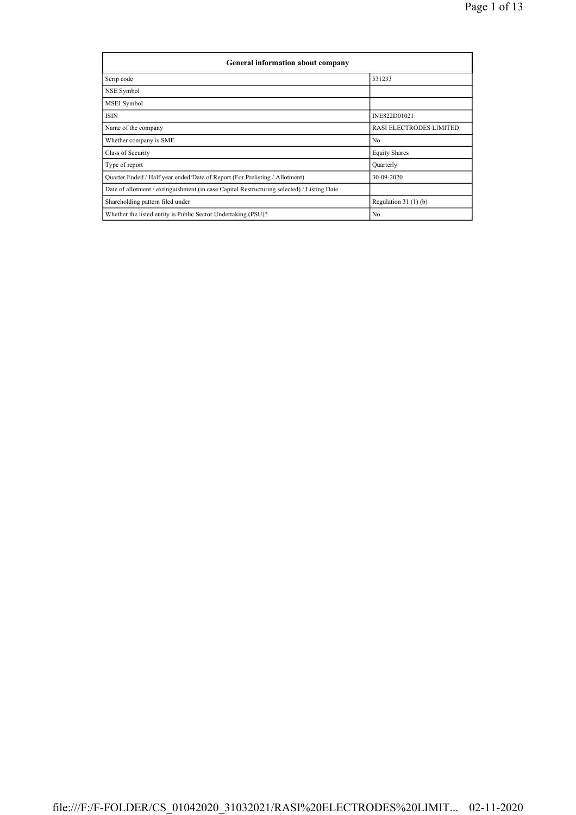| General information about company                                                          |                                |  |  |  |  |  |  |  |
|--------------------------------------------------------------------------------------------|--------------------------------|--|--|--|--|--|--|--|
| Scrip code                                                                                 | 531233                         |  |  |  |  |  |  |  |
| NSE Symbol                                                                                 |                                |  |  |  |  |  |  |  |
| MSEI Symbol                                                                                |                                |  |  |  |  |  |  |  |
| <b>ISIN</b>                                                                                | INE822D01021                   |  |  |  |  |  |  |  |
| Name of the company                                                                        | <b>RASI ELECTRODES LIMITED</b> |  |  |  |  |  |  |  |
| Whether company is SME                                                                     | N <sub>0</sub>                 |  |  |  |  |  |  |  |
| Class of Security                                                                          | <b>Equity Shares</b>           |  |  |  |  |  |  |  |
| Type of report                                                                             | Quarterly                      |  |  |  |  |  |  |  |
| Quarter Ended / Half year ended/Date of Report (For Prelisting / Allotment)                | 30-09-2020                     |  |  |  |  |  |  |  |
| Date of allotment / extinguishment (in case Capital Restructuring selected) / Listing Date |                                |  |  |  |  |  |  |  |
| Shareholding pattern filed under                                                           | Regulation $31(1)(b)$          |  |  |  |  |  |  |  |
| Whether the listed entity is Public Sector Undertaking (PSU)?                              | N <sub>0</sub>                 |  |  |  |  |  |  |  |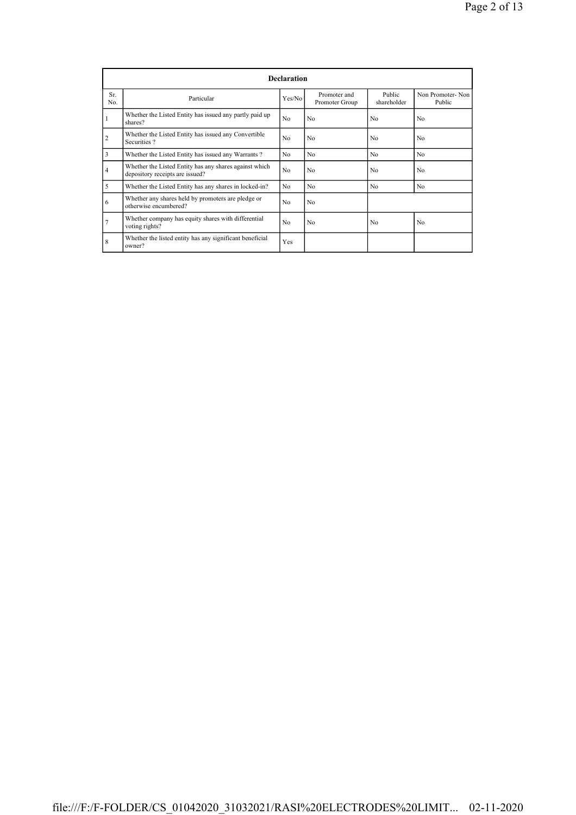|           | <b>Declaration</b>                                                                        |                |                                |                       |                            |  |  |  |  |  |
|-----------|-------------------------------------------------------------------------------------------|----------------|--------------------------------|-----------------------|----------------------------|--|--|--|--|--|
| Sr<br>No. | Particular                                                                                | Yes/No         | Promoter and<br>Promoter Group | Public<br>shareholder | Non Promoter-Non<br>Public |  |  |  |  |  |
| 1         | Whether the Listed Entity has issued any partly paid up<br>shares?                        | N <sub>0</sub> | N <sub>0</sub>                 | N <sub>0</sub>        | No.                        |  |  |  |  |  |
| 2         | Whether the Listed Entity has issued any Convertible<br>Securities?                       | N <sub>0</sub> | N <sub>0</sub>                 | N <sub>0</sub>        | N <sub>0</sub>             |  |  |  |  |  |
| 3         | Whether the Listed Entity has issued any Warrants?                                        | N <sub>0</sub> | N <sub>0</sub>                 | N <sub>0</sub>        | N <sub>0</sub>             |  |  |  |  |  |
| 4         | Whether the Listed Entity has any shares against which<br>depository receipts are issued? |                | N <sub>0</sub>                 | N <sub>0</sub>        | N <sub>0</sub>             |  |  |  |  |  |
| 5         | Whether the Listed Entity has any shares in locked-in?                                    | N <sub>0</sub> | N <sub>0</sub>                 | N <sub>0</sub>        | N <sub>0</sub>             |  |  |  |  |  |
| 6         | Whether any shares held by promoters are pledge or<br>otherwise encumbered?               | N <sub>0</sub> | N <sub>0</sub>                 |                       |                            |  |  |  |  |  |
|           | Whether company has equity shares with differential<br>voting rights?                     | N <sub>0</sub> | N <sub>0</sub>                 | N <sub>0</sub>        | N <sub>0</sub>             |  |  |  |  |  |
| 8         | Whether the listed entity has any significant beneficial<br>owner?                        | Yes            |                                |                       |                            |  |  |  |  |  |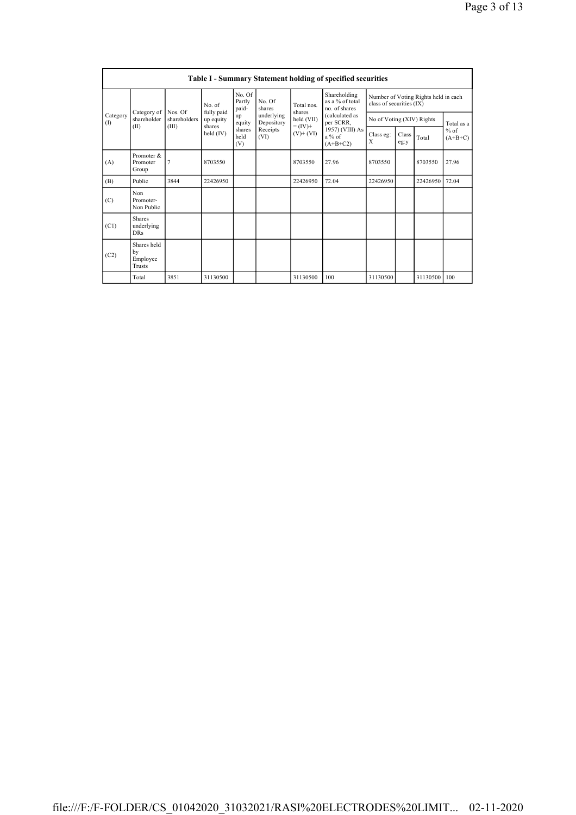| <b>Table I - Summary Statement holding of specified securities</b> |                                           |                |                                                           |                           |                                              |                                            |                                                                        |                                                                  |               |              |                                   |
|--------------------------------------------------------------------|-------------------------------------------|----------------|-----------------------------------------------------------|---------------------------|----------------------------------------------|--------------------------------------------|------------------------------------------------------------------------|------------------------------------------------------------------|---------------|--------------|-----------------------------------|
| Category<br>(1)                                                    |                                           | Nos. Of        | No of<br>fully paid<br>up equity<br>shares<br>held $(IV)$ | No. Of<br>Partly<br>paid- | No. Of<br>shares                             | Total nos<br>shares                        | Shareholding<br>as a % of total<br>no. of shares                       | Number of Voting Rights held in each<br>class of securities (IX) |               |              |                                   |
|                                                                    | Category of<br>shareholder                | shareholders   |                                                           | up<br>equity              | underlying<br>Depository<br>Receipts<br>(VI) | held (VII)<br>$= (IV) +$<br>$(V)$ + $(VI)$ | (calculated as<br>per SCRR,<br>1957) (VIII) As<br>a % of<br>$(A+B+C2)$ | No of Voting (XIV) Rights                                        |               |              | Total as a<br>$%$ of<br>$(A+B+C)$ |
|                                                                    | (II)                                      | (III)          |                                                           | shares<br>held<br>(V)     |                                              |                                            |                                                                        | Class eg:<br>X                                                   | Class<br>eg:y | Total        |                                   |
| (A)                                                                | Promoter &<br>Promoter<br>Group           | $\overline{7}$ | 8703550                                                   |                           |                                              | 8703550                                    | 27.96                                                                  | 8703550                                                          |               | 8703550      | 27.96                             |
| (B)                                                                | Public                                    | 3844           | 22426950                                                  |                           |                                              | 22426950                                   | 72.04                                                                  | 22426950                                                         |               | 22426950     | 72.04                             |
| (C)                                                                | Non<br>Promoter-<br>Non Public            |                |                                                           |                           |                                              |                                            |                                                                        |                                                                  |               |              |                                   |
| (C1)                                                               | <b>Shares</b><br>underlying<br><b>DRs</b> |                |                                                           |                           |                                              |                                            |                                                                        |                                                                  |               |              |                                   |
| (C2)                                                               | Shares held<br>by<br>Employee<br>Trusts   |                |                                                           |                           |                                              |                                            |                                                                        |                                                                  |               |              |                                   |
|                                                                    | Total                                     | 3851           | 31130500                                                  |                           |                                              | 31130500                                   | 100                                                                    | 31130500                                                         |               | 31130500 100 |                                   |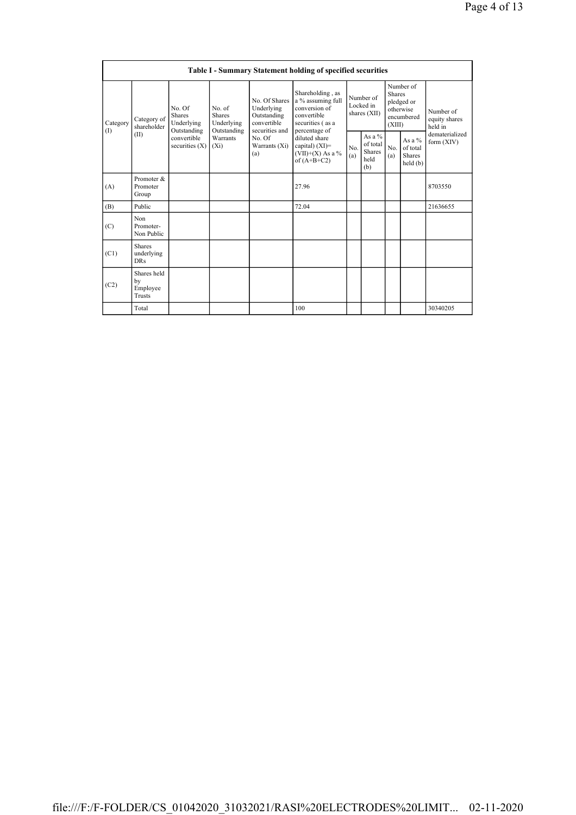| Table I - Summary Statement holding of specified securities |                                           |                                                      |                                                      |                                                                             |                                                                                                            |                                        |                                                      |                                                                               |                                                   |                                       |
|-------------------------------------------------------------|-------------------------------------------|------------------------------------------------------|------------------------------------------------------|-----------------------------------------------------------------------------|------------------------------------------------------------------------------------------------------------|----------------------------------------|------------------------------------------------------|-------------------------------------------------------------------------------|---------------------------------------------------|---------------------------------------|
| Category<br>(1)                                             | Category of<br>shareholder<br>(II)        | No. Of<br><b>Shares</b><br>Underlying<br>Outstanding | No. of<br><b>Shares</b><br>Underlying<br>Outstanding | No. Of Shares<br>Underlying<br>Outstanding<br>convertible<br>securities and | Shareholding, as<br>a % assuming full<br>conversion of<br>convertible<br>securities (as a<br>percentage of | Number of<br>Locked in<br>shares (XII) |                                                      | Number of<br><b>Shares</b><br>pledged or<br>otherwise<br>encumbered<br>(XIII) |                                                   | Number of<br>equity shares<br>held in |
|                                                             |                                           | convertible<br>securities $(X)$                      | Warrants<br>$(X_i)$                                  | No. Of<br>Warrants (Xi)<br>(a)                                              | diluted share<br>capital) $(XI)$ =<br>$(VII)+(X)$ As a %<br>of $(A+B+C2)$                                  | No<br>(a)                              | As a $%$<br>of total<br><b>Shares</b><br>held<br>(b) | N <sub>0</sub><br>(a)                                                         | As a $%$<br>of total<br><b>Shares</b><br>held (b) | dematerialized<br>form $(XIV)$        |
| (A)                                                         | Promoter &<br>Promoter<br>Group           |                                                      |                                                      |                                                                             | 27.96                                                                                                      |                                        |                                                      |                                                                               |                                                   | 8703550                               |
| (B)                                                         | Public                                    |                                                      |                                                      |                                                                             | 72.04                                                                                                      |                                        |                                                      |                                                                               |                                                   | 21636655                              |
| (C)                                                         | Non<br>Promoter-<br>Non Public            |                                                      |                                                      |                                                                             |                                                                                                            |                                        |                                                      |                                                                               |                                                   |                                       |
| (C1)                                                        | <b>Shares</b><br>underlying<br><b>DRs</b> |                                                      |                                                      |                                                                             |                                                                                                            |                                        |                                                      |                                                                               |                                                   |                                       |
| (C2)                                                        | Shares held<br>by<br>Employee<br>Trusts   |                                                      |                                                      |                                                                             |                                                                                                            |                                        |                                                      |                                                                               |                                                   |                                       |
|                                                             | Total                                     |                                                      |                                                      |                                                                             | 100                                                                                                        |                                        |                                                      |                                                                               |                                                   | 30340205                              |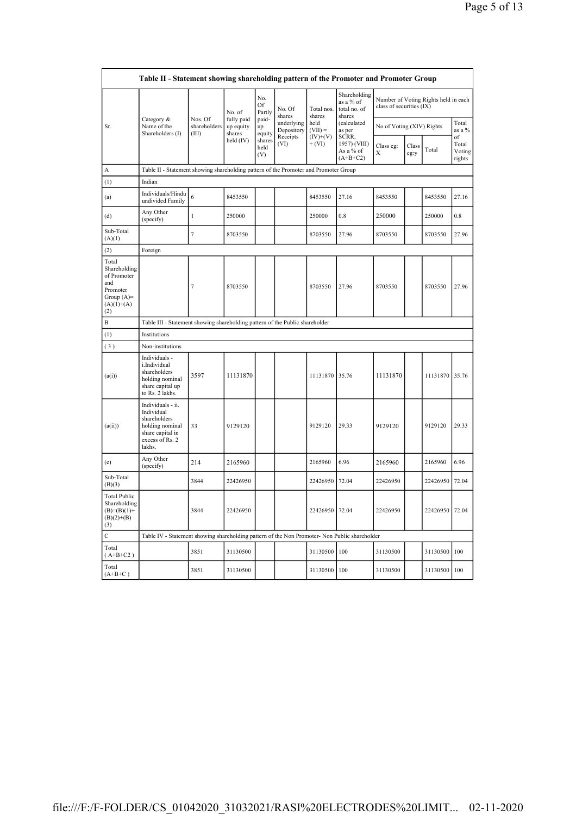|                                                                                                | Table II - Statement showing shareholding pattern of the Promoter and Promoter Group                                |                                  |                                   |                       |                          |                        |                                                     |                           |               |                                      |                                 |
|------------------------------------------------------------------------------------------------|---------------------------------------------------------------------------------------------------------------------|----------------------------------|-----------------------------------|-----------------------|--------------------------|------------------------|-----------------------------------------------------|---------------------------|---------------|--------------------------------------|---------------------------------|
|                                                                                                |                                                                                                                     |                                  | No. of                            | No.<br>Of<br>Partly   | No. Of<br>shares         | Total nos.<br>shares   | Shareholding<br>as a % of<br>total no. of<br>shares | class of securities (IX)  |               | Number of Voting Rights held in each |                                 |
| Sr.                                                                                            | Category &<br>Name of the<br>Shareholders (I)                                                                       | Nos. Of<br>shareholders<br>(III) | fully paid<br>up equity<br>shares | paid-<br>up<br>equity | underlying<br>Depository | held<br>$(VII) =$      | (calculated<br>as per                               | No of Voting (XIV) Rights |               |                                      | Total<br>as a %                 |
|                                                                                                |                                                                                                                     |                                  | held $(IV)$                       | shares<br>held<br>(V) | Receipts<br>(VI)         | $(IV)+(V)$<br>$+ (VI)$ | SCRR,<br>1957) (VIII)<br>As a % of<br>$(A+B+C2)$    | Class eg:<br>X            | Class<br>eg:y | Total                                | of<br>Total<br>Voting<br>rights |
| А                                                                                              | Table II - Statement showing shareholding pattern of the Promoter and Promoter Group                                |                                  |                                   |                       |                          |                        |                                                     |                           |               |                                      |                                 |
| (1)                                                                                            | Indian                                                                                                              |                                  |                                   |                       |                          |                        |                                                     |                           |               |                                      |                                 |
| (a)                                                                                            | Individuals/Hindu<br>undivided Family                                                                               | 6                                | 8453550                           |                       |                          | 8453550                | 27.16                                               | 8453550                   |               | 8453550                              | 27.16                           |
| (d)                                                                                            | Any Other<br>(specify)                                                                                              | 1                                | 250000                            |                       |                          | 250000                 | 0.8                                                 | 250000                    |               | 250000                               | 0.8                             |
| Sub-Total<br>(A)(1)                                                                            |                                                                                                                     | 7                                | 8703550                           |                       |                          | 8703550                | 27.96                                               | 8703550                   |               | 8703550                              | 27.96                           |
| (2)                                                                                            | Foreign                                                                                                             |                                  |                                   |                       |                          |                        |                                                     |                           |               |                                      |                                 |
| Total<br>Shareholding<br>of Promoter<br>and<br>Promoter<br>Group $(A)=$<br>$(A)(1)+(A)$<br>(2) |                                                                                                                     | 7                                | 8703550                           |                       |                          | 8703550                | 27.96                                               | 8703550                   |               | 8703550                              | 27.96                           |
| B                                                                                              | Table III - Statement showing shareholding pattern of the Public shareholder                                        |                                  |                                   |                       |                          |                        |                                                     |                           |               |                                      |                                 |
| (1)                                                                                            | Institutions                                                                                                        |                                  |                                   |                       |                          |                        |                                                     |                           |               |                                      |                                 |
| (3)                                                                                            | Non-institutions                                                                                                    |                                  |                                   |                       |                          |                        |                                                     |                           |               |                                      |                                 |
| (a(i))                                                                                         | Individuals -<br>i.Individual<br>shareholders<br>holding nominal<br>share capital up<br>to Rs. 2 lakhs.             | 3597                             | 11131870                          |                       |                          | 11131870 35.76         |                                                     | 11131870                  |               | 11131870 35.76                       |                                 |
| (a(ii))                                                                                        | Individuals - ii.<br>Individual<br>shareholders<br>holding nominal<br>share capital in<br>excess of Rs. 2<br>lakhs. | 33                               | 9129120                           |                       |                          | 9129120                | 29.33                                               | 9129120                   |               | 9129120                              | 29.33                           |
| (e)                                                                                            | Any Other<br>(specify)                                                                                              | 214                              | 2165960                           |                       |                          | 2165960                | 6.96                                                | 2165960                   |               | 2165960                              | 6.96                            |
| Sub-Total<br>(B)(3)                                                                            |                                                                                                                     | 3844                             | 22426950                          |                       |                          | 22426950               | 72.04                                               | 22426950                  |               | 22426950                             | 72.04                           |
| <b>Total Public</b><br>Shareholding<br>$(B)=(B)(1)+$<br>$(B)(2)+(B)$<br>(3)                    |                                                                                                                     | 3844                             | 22426950                          |                       |                          | 22426950 72.04         |                                                     | 22426950                  |               | 22426950                             | 72.04                           |
| $\mathbf C$                                                                                    | Table IV - Statement showing shareholding pattern of the Non Promoter- Non Public shareholder                       |                                  |                                   |                       |                          |                        |                                                     |                           |               |                                      |                                 |
| Total<br>$(A+B+C2)$                                                                            |                                                                                                                     | 3851                             | 31130500                          |                       |                          | 31130500               | 100                                                 | 31130500                  |               | 31130500 100                         |                                 |
| Total<br>$(A+B+C)$                                                                             |                                                                                                                     | 3851                             | 31130500                          |                       |                          | 31130500               | 100                                                 | 31130500                  |               | 31130500                             | 100                             |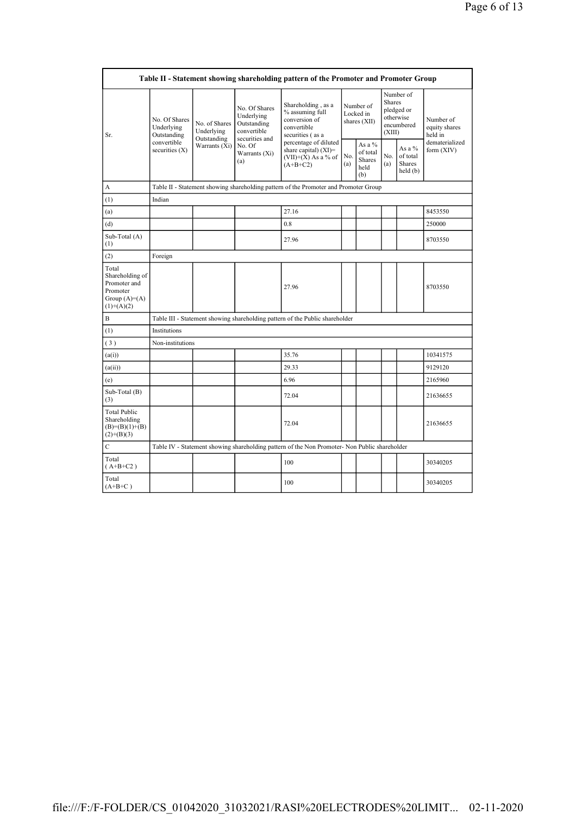| Table II - Statement showing shareholding pattern of the Promoter and Promoter Group   |                                                                               |                                            |                                                                             |                                                                                               |                                        |                                                    |                                                                               |                                         |                                       |  |
|----------------------------------------------------------------------------------------|-------------------------------------------------------------------------------|--------------------------------------------|-----------------------------------------------------------------------------|-----------------------------------------------------------------------------------------------|----------------------------------------|----------------------------------------------------|-------------------------------------------------------------------------------|-----------------------------------------|---------------------------------------|--|
| Sr.                                                                                    | No. Of Shares<br>Underlying<br>Outstanding<br>convertible<br>securities $(X)$ | No. of Shares<br>Underlying<br>Outstanding | No. Of Shares<br>Underlying<br>Outstanding<br>convertible<br>securities and | Shareholding, as a<br>% assuming full<br>conversion of<br>convertible<br>securities (as a     | Number of<br>Locked in<br>shares (XII) |                                                    | Number of<br><b>Shares</b><br>pledged or<br>otherwise<br>encumbered<br>(XIII) |                                         | Number of<br>equity shares<br>held in |  |
|                                                                                        |                                                                               | Warrants (Xi)                              | No. Of<br>Warrants (Xi)<br>(a)                                              | percentage of diluted<br>share capital) $(XI)$ =<br>$(VII)+(X)$ As a % of<br>$(A+B+C2)$       | No.<br>(a)                             | As a %<br>of total<br><b>Shares</b><br>held<br>(b) | No.<br>(a)                                                                    | As a %<br>of total<br>Shares<br>held(b) | dematerialized<br>form (XIV)          |  |
| A                                                                                      |                                                                               |                                            |                                                                             | Table II - Statement showing shareholding pattern of the Promoter and Promoter Group          |                                        |                                                    |                                                                               |                                         |                                       |  |
| (1)                                                                                    | Indian                                                                        |                                            |                                                                             |                                                                                               |                                        |                                                    |                                                                               |                                         |                                       |  |
| (a)                                                                                    |                                                                               |                                            |                                                                             | 27.16                                                                                         |                                        |                                                    |                                                                               |                                         | 8453550                               |  |
| (d)                                                                                    |                                                                               |                                            |                                                                             | 0.8                                                                                           |                                        |                                                    |                                                                               |                                         | 250000                                |  |
| Sub-Total (A)<br>(1)                                                                   |                                                                               |                                            |                                                                             | 27.96                                                                                         |                                        |                                                    |                                                                               |                                         | 8703550                               |  |
| (2)                                                                                    | Foreign                                                                       |                                            |                                                                             |                                                                                               |                                        |                                                    |                                                                               |                                         |                                       |  |
| Total<br>Shareholding of<br>Promoter and<br>Promoter<br>Group $(A)=A)$<br>$(1)+(A)(2)$ |                                                                               |                                            |                                                                             | 27.96                                                                                         |                                        |                                                    |                                                                               |                                         | 8703550                               |  |
| B                                                                                      |                                                                               |                                            |                                                                             | Table III - Statement showing shareholding pattern of the Public shareholder                  |                                        |                                                    |                                                                               |                                         |                                       |  |
| (1)                                                                                    | Institutions                                                                  |                                            |                                                                             |                                                                                               |                                        |                                                    |                                                                               |                                         |                                       |  |
| (3)                                                                                    | Non-institutions                                                              |                                            |                                                                             |                                                                                               |                                        |                                                    |                                                                               |                                         |                                       |  |
| (a(i))                                                                                 |                                                                               |                                            |                                                                             | 35.76                                                                                         |                                        |                                                    |                                                                               |                                         | 10341575                              |  |
| (a(ii))                                                                                |                                                                               |                                            |                                                                             | 29.33                                                                                         |                                        |                                                    |                                                                               |                                         | 9129120                               |  |
| (e)                                                                                    |                                                                               |                                            |                                                                             | 6.96                                                                                          |                                        |                                                    |                                                                               |                                         | 2165960                               |  |
| Sub-Total (B)<br>(3)                                                                   |                                                                               |                                            |                                                                             | 72.04                                                                                         |                                        |                                                    |                                                                               |                                         | 21636655                              |  |
| <b>Total Public</b><br>Shareholding<br>$(B)=(B)(1)+(B)$<br>$(2)+(B)(3)$                |                                                                               |                                            |                                                                             | 72.04                                                                                         |                                        |                                                    |                                                                               |                                         | 21636655                              |  |
| $\mathbf C$                                                                            |                                                                               |                                            |                                                                             | Table IV - Statement showing shareholding pattern of the Non Promoter- Non Public shareholder |                                        |                                                    |                                                                               |                                         |                                       |  |
| Total<br>$(A+B+C2)$                                                                    |                                                                               |                                            |                                                                             | 100                                                                                           |                                        |                                                    |                                                                               |                                         | 30340205                              |  |
| Total<br>$(A+B+C)$                                                                     |                                                                               |                                            |                                                                             | 100                                                                                           |                                        |                                                    |                                                                               |                                         | 30340205                              |  |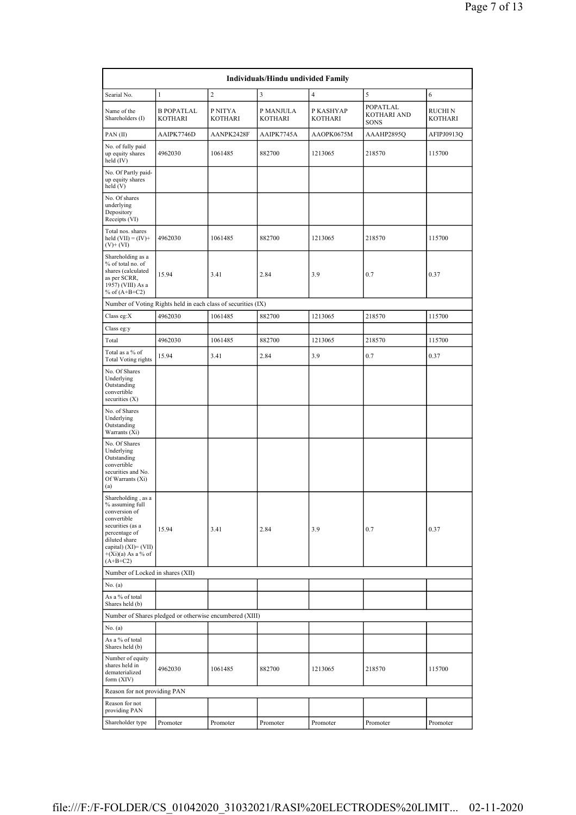|                                                                                                                                                                                              |                                                               |                           | Individuals/Hindu undivided Family |                      |                                        |                           |
|----------------------------------------------------------------------------------------------------------------------------------------------------------------------------------------------|---------------------------------------------------------------|---------------------------|------------------------------------|----------------------|----------------------------------------|---------------------------|
| Searial No.                                                                                                                                                                                  | $\mathbf{1}$                                                  | $\overline{c}$            | $\mathfrak{Z}$                     | $\overline{4}$       | 5                                      | 6                         |
| Name of the<br>Shareholders (I)                                                                                                                                                              | <b>B POPATLAL</b><br><b>KOTHARI</b>                           | P NITYA<br><b>KOTHARI</b> | P MANJULA<br>KOTHARI               | P KASHYAP<br>KOTHARI | POPATLAL<br>KOTHARI AND<br><b>SONS</b> | RUCHI N<br><b>KOTHARI</b> |
| PAN(II)                                                                                                                                                                                      | AAIPK7746D                                                    | AANPK2428F                | AAIPK7745A                         | AAOPK0675M           | AAAHP2895Q                             | AFIPJ0913Q                |
| No. of fully paid<br>up equity shares<br>held (IV)                                                                                                                                           | 4962030                                                       | 1061485                   | 882700                             | 1213065              | 218570                                 | 115700                    |
| No. Of Partly paid-<br>up equity shares<br>held (V)                                                                                                                                          |                                                               |                           |                                    |                      |                                        |                           |
| No. Of shares<br>underlying<br>Depository<br>Receipts (VI)                                                                                                                                   |                                                               |                           |                                    |                      |                                        |                           |
| Total nos. shares<br>held $(VII) = (IV) +$<br>$(V)$ + $(VI)$                                                                                                                                 | 4962030                                                       | 1061485                   | 882700                             | 1213065              | 218570                                 | 115700                    |
| Shareholding as a<br>% of total no. of<br>shares (calculated<br>as per SCRR,<br>1957) (VIII) As a<br>% of $(A+B+C2)$                                                                         | 15.94                                                         | 3.41                      | 2.84                               | 3.9                  | 0.7                                    | 0.37                      |
|                                                                                                                                                                                              | Number of Voting Rights held in each class of securities (IX) |                           |                                    |                      |                                        |                           |
| Class eg:X                                                                                                                                                                                   | 4962030                                                       | 1061485                   | 882700                             | 1213065              | 218570                                 | 115700                    |
| Class eg:y                                                                                                                                                                                   |                                                               |                           |                                    |                      |                                        |                           |
| Total                                                                                                                                                                                        | 4962030                                                       | 1061485                   | 882700                             | 1213065              | 218570                                 | 115700                    |
| Total as a % of<br><b>Total Voting rights</b>                                                                                                                                                | 15.94                                                         | 3.41                      | 2.84                               | 3.9                  | 0.7                                    | 0.37                      |
| No. Of Shares<br>Underlying<br>Outstanding<br>convertible<br>securities $(X)$                                                                                                                |                                                               |                           |                                    |                      |                                        |                           |
| No. of Shares<br>Underlying<br>Outstanding<br>Warrants (Xi)                                                                                                                                  |                                                               |                           |                                    |                      |                                        |                           |
| No. Of Shares<br>Underlying<br>Outstanding<br>convertible<br>securities and No.<br>Of Warrants (Xi)<br>(a)                                                                                   |                                                               |                           |                                    |                      |                                        |                           |
| Shareholding, as a<br>% assuming full<br>conversion of<br>convertible<br>securities (as a<br>percentage of<br>diluted share<br>capital) $(XI) = (VII)$<br>$+(Xi)(a)$ As a % of<br>$(A+B+C2)$ | 15.94                                                         | 3.41                      | 2.84                               | 3.9                  | 0.7                                    | 0.37                      |
| Number of Locked in shares (XII)                                                                                                                                                             |                                                               |                           |                                    |                      |                                        |                           |
| No. (a)<br>As a % of total<br>Shares held (b)                                                                                                                                                |                                                               |                           |                                    |                      |                                        |                           |
|                                                                                                                                                                                              | Number of Shares pledged or otherwise encumbered (XIII)       |                           |                                    |                      |                                        |                           |
| No. (a)                                                                                                                                                                                      |                                                               |                           |                                    |                      |                                        |                           |
| As a % of total<br>Shares held (b)                                                                                                                                                           |                                                               |                           |                                    |                      |                                        |                           |
| Number of equity<br>shares held in<br>dematerialized<br>form (XIV)                                                                                                                           | 4962030                                                       | 1061485                   | 882700                             | 1213065              | 218570                                 | 115700                    |
| Reason for not providing PAN                                                                                                                                                                 |                                                               |                           |                                    |                      |                                        |                           |
| Reason for not<br>providing PAN                                                                                                                                                              |                                                               |                           |                                    |                      |                                        |                           |
| Shareholder type                                                                                                                                                                             | Promoter                                                      | Promoter                  | Promoter                           | Promoter             | Promoter                               | Promoter                  |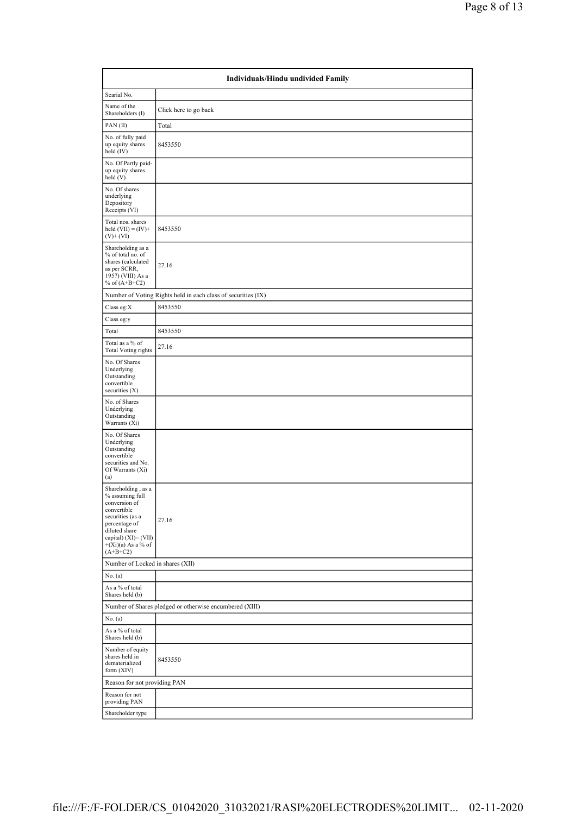| Individuals/Hindu undivided Family                                                                                                                                                           |                                                               |  |  |  |  |  |  |  |
|----------------------------------------------------------------------------------------------------------------------------------------------------------------------------------------------|---------------------------------------------------------------|--|--|--|--|--|--|--|
| Searial No.                                                                                                                                                                                  |                                                               |  |  |  |  |  |  |  |
| Name of the<br>Shareholders (I)                                                                                                                                                              | Click here to go back                                         |  |  |  |  |  |  |  |
| PAN(II)                                                                                                                                                                                      | Total                                                         |  |  |  |  |  |  |  |
| No. of fully paid<br>up equity shares<br>held $(IV)$                                                                                                                                         | 8453550                                                       |  |  |  |  |  |  |  |
| No. Of Partly paid-<br>up equity shares<br>held(V)                                                                                                                                           |                                                               |  |  |  |  |  |  |  |
| No. Of shares<br>underlying<br>Depository<br>Receipts (VI)                                                                                                                                   |                                                               |  |  |  |  |  |  |  |
| Total nos. shares<br>held $(VII) = (IV) +$<br>$(V)+(VI)$                                                                                                                                     | 8453550                                                       |  |  |  |  |  |  |  |
| Shareholding as a<br>% of total no. of<br>shares (calculated<br>as per SCRR,<br>1957) (VIII) As a<br>% of $(A+B+C2)$                                                                         | 27.16                                                         |  |  |  |  |  |  |  |
|                                                                                                                                                                                              | Number of Voting Rights held in each class of securities (IX) |  |  |  |  |  |  |  |
| Class eg:X                                                                                                                                                                                   | 8453550                                                       |  |  |  |  |  |  |  |
| Class eg:y                                                                                                                                                                                   |                                                               |  |  |  |  |  |  |  |
| Total                                                                                                                                                                                        | 8453550                                                       |  |  |  |  |  |  |  |
| Total as a % of<br><b>Total Voting rights</b>                                                                                                                                                | 27.16                                                         |  |  |  |  |  |  |  |
| No. Of Shares<br>Underlying<br>Outstanding<br>convertible<br>securities $(X)$                                                                                                                |                                                               |  |  |  |  |  |  |  |
| No. of Shares<br>Underlying<br>Outstanding<br>Warrants (Xi)                                                                                                                                  |                                                               |  |  |  |  |  |  |  |
| No. Of Shares<br>Underlying<br>Outstanding<br>convertible<br>securities and No.<br>Of Warrants (Xi)<br>(a)                                                                                   |                                                               |  |  |  |  |  |  |  |
| Shareholding, as a<br>% assuming full<br>conversion of<br>convertible<br>securities (as a<br>percentage of<br>diluted share<br>capital) $(XI) = (VII)$<br>$+(Xi)(a)$ As a % of<br>$(A+B+C2)$ | 27.16                                                         |  |  |  |  |  |  |  |
| Number of Locked in shares (XII)                                                                                                                                                             |                                                               |  |  |  |  |  |  |  |
| No. (a)<br>As a % of total<br>Shares held (b)                                                                                                                                                |                                                               |  |  |  |  |  |  |  |
|                                                                                                                                                                                              | Number of Shares pledged or otherwise encumbered (XIII)       |  |  |  |  |  |  |  |
| No. $(a)$                                                                                                                                                                                    |                                                               |  |  |  |  |  |  |  |
| As a % of total<br>Shares held (b)                                                                                                                                                           |                                                               |  |  |  |  |  |  |  |
| Number of equity<br>shares held in<br>dematerialized<br>form (XIV)                                                                                                                           | 8453550                                                       |  |  |  |  |  |  |  |
| Reason for not providing PAN                                                                                                                                                                 |                                                               |  |  |  |  |  |  |  |
| Reason for not<br>providing PAN                                                                                                                                                              |                                                               |  |  |  |  |  |  |  |
| Shareholder type                                                                                                                                                                             |                                                               |  |  |  |  |  |  |  |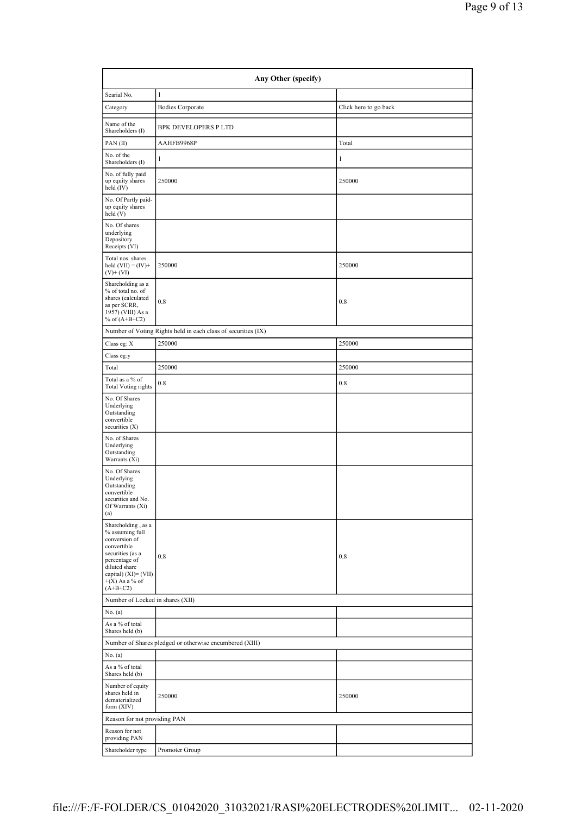| Any Other (specify)                                                                                                                                                                      |                                                               |                       |  |  |  |  |  |  |  |
|------------------------------------------------------------------------------------------------------------------------------------------------------------------------------------------|---------------------------------------------------------------|-----------------------|--|--|--|--|--|--|--|
| Searial No.                                                                                                                                                                              | $\mathbf{1}$                                                  |                       |  |  |  |  |  |  |  |
| Category                                                                                                                                                                                 | <b>Bodies Corporate</b>                                       | Click here to go back |  |  |  |  |  |  |  |
| Name of the<br>Shareholders (I)                                                                                                                                                          | <b>BPK DEVELOPERS PLTD</b>                                    |                       |  |  |  |  |  |  |  |
| PAN(II)                                                                                                                                                                                  | AAHFB9968P                                                    | Total                 |  |  |  |  |  |  |  |
| No. of the<br>Shareholders (I)                                                                                                                                                           | 1                                                             | 1                     |  |  |  |  |  |  |  |
| No. of fully paid<br>up equity shares<br>held (IV)                                                                                                                                       | 250000                                                        | 250000                |  |  |  |  |  |  |  |
| No. Of Partly paid-<br>up equity shares<br>held (V)                                                                                                                                      |                                                               |                       |  |  |  |  |  |  |  |
| No. Of shares<br>underlying<br>Depository<br>Receipts (VI)                                                                                                                               |                                                               |                       |  |  |  |  |  |  |  |
| Total nos. shares<br>held $(VII) = (IV) +$<br>$(V)+(VI)$                                                                                                                                 | 250000                                                        | 250000                |  |  |  |  |  |  |  |
| Shareholding as a<br>% of total no. of<br>shares (calculated<br>as per SCRR,<br>1957) (VIII) As a<br>% of $(A+B+C2)$                                                                     | 0.8                                                           | 0.8                   |  |  |  |  |  |  |  |
|                                                                                                                                                                                          | Number of Voting Rights held in each class of securities (IX) |                       |  |  |  |  |  |  |  |
| Class eg: X                                                                                                                                                                              | 250000                                                        | 250000                |  |  |  |  |  |  |  |
| Class eg:y                                                                                                                                                                               |                                                               |                       |  |  |  |  |  |  |  |
| Total                                                                                                                                                                                    | 250000                                                        | 250000                |  |  |  |  |  |  |  |
| Total as a $\%$ of<br><b>Total Voting rights</b>                                                                                                                                         | 0.8                                                           | 0.8                   |  |  |  |  |  |  |  |
| No. Of Shares<br>Underlying<br>Outstanding<br>convertible<br>securities $(X)$                                                                                                            |                                                               |                       |  |  |  |  |  |  |  |
| No. of Shares<br>Underlying<br>Outstanding<br>Warrants $(X_i)$                                                                                                                           |                                                               |                       |  |  |  |  |  |  |  |
| No. Of Shares<br>Underlying<br>Outstanding<br>convertible<br>securities and No.<br>Of Warrants (Xi)<br>(a)                                                                               |                                                               |                       |  |  |  |  |  |  |  |
| Shareholding, as a<br>% assuming full<br>conversion of<br>convertible<br>securities (as a<br>percentage of<br>diluted share<br>capital) $(XI) = (VII)$<br>$+(X)$ As a % of<br>$(A+B+C2)$ | 0.8                                                           | 0.8                   |  |  |  |  |  |  |  |
| Number of Locked in shares (XII)                                                                                                                                                         |                                                               |                       |  |  |  |  |  |  |  |
| No. (a)                                                                                                                                                                                  |                                                               |                       |  |  |  |  |  |  |  |
| As a % of total<br>Shares held (b)                                                                                                                                                       |                                                               |                       |  |  |  |  |  |  |  |
|                                                                                                                                                                                          | Number of Shares pledged or otherwise encumbered (XIII)       |                       |  |  |  |  |  |  |  |
| No. (a)<br>As a % of total<br>Shares held (b)                                                                                                                                            |                                                               |                       |  |  |  |  |  |  |  |
| Number of equity<br>shares held in<br>dematerialized<br>form (XIV)                                                                                                                       | 250000                                                        | 250000                |  |  |  |  |  |  |  |
| Reason for not providing PAN                                                                                                                                                             |                                                               |                       |  |  |  |  |  |  |  |
| Reason for not<br>providing PAN                                                                                                                                                          |                                                               |                       |  |  |  |  |  |  |  |
| Shareholder type                                                                                                                                                                         | Promoter Group                                                |                       |  |  |  |  |  |  |  |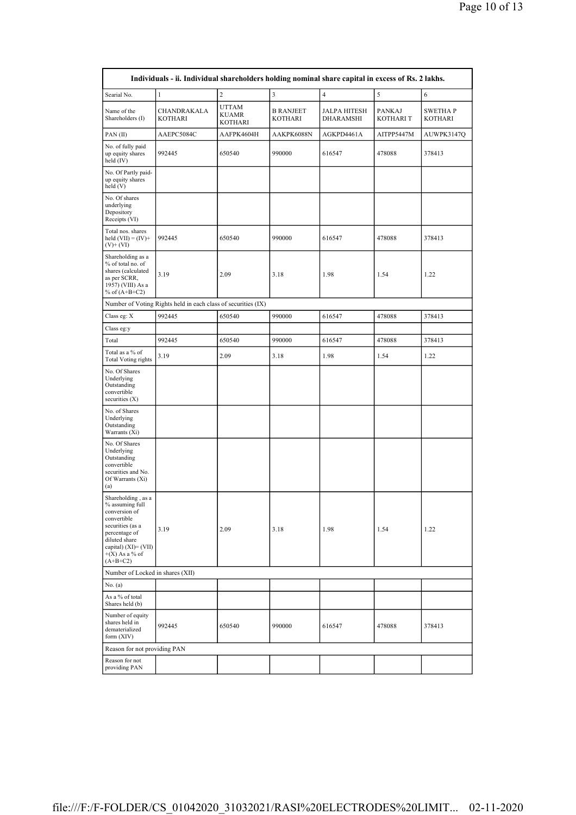|                                                                                                                                                                                          | Individuals - ii. Individual shareholders holding nominal share capital in excess of Rs. 2 lakhs. |                                         |                             |                                  |                           |                     |
|------------------------------------------------------------------------------------------------------------------------------------------------------------------------------------------|---------------------------------------------------------------------------------------------------|-----------------------------------------|-----------------------------|----------------------------------|---------------------------|---------------------|
| Searial No.                                                                                                                                                                              | $\mathbf{1}$                                                                                      | $\overline{c}$                          | 3                           | $\overline{4}$                   | $\sqrt{5}$                | 6                   |
| Name of the<br>Shareholders (I)                                                                                                                                                          | CHANDRAKALA<br>KOTHARI                                                                            | <b>UTTAM</b><br><b>KUAMR</b><br>KOTHARI | <b>B RANJEET</b><br>KOTHARI | <b>JALPA HITESH</b><br>DHARAMSHI | PANKAJ<br><b>KOTHARIT</b> | SWETHA P<br>KOTHARI |
| PAN(II)                                                                                                                                                                                  | AAEPC5084C                                                                                        | AAFPK4604H                              | AAKPK6088N                  | AGKPD4461A                       | AITPP5447M                | AUWPK3147Q          |
| No. of fully paid<br>up equity shares<br>held $(IV)$                                                                                                                                     | 992445                                                                                            | 650540                                  | 990000                      | 616547                           | 478088                    | 378413              |
| No. Of Partly paid-<br>up equity shares<br>held (V)                                                                                                                                      |                                                                                                   |                                         |                             |                                  |                           |                     |
| No. Of shares<br>underlying<br>Depository<br>Receipts (VI)                                                                                                                               |                                                                                                   |                                         |                             |                                  |                           |                     |
| Total nos. shares<br>held $(VII) = (IV) +$<br>$(V)$ + $(VI)$                                                                                                                             | 992445                                                                                            | 650540                                  | 990000                      | 616547                           | 478088                    | 378413              |
| Shareholding as a<br>% of total no. of<br>shares (calculated<br>as per SCRR,<br>1957) (VIII) As a<br>% of $(A+B+C2)$                                                                     | 3.19                                                                                              | 2.09                                    | 3.18                        | 1.98                             | 1.54                      | 1.22                |
|                                                                                                                                                                                          | Number of Voting Rights held in each class of securities (IX)                                     |                                         |                             |                                  |                           |                     |
| Class eg: X                                                                                                                                                                              | 992445                                                                                            | 650540                                  | 990000                      | 616547                           | 478088                    | 378413              |
| Class eg:y                                                                                                                                                                               |                                                                                                   |                                         |                             |                                  |                           |                     |
| Total                                                                                                                                                                                    | 992445                                                                                            | 650540                                  | 990000                      | 616547                           | 478088                    | 378413              |
| Total as a % of<br><b>Total Voting rights</b>                                                                                                                                            | 3.19                                                                                              | 2.09                                    | 3.18                        | 1.98                             | 1.54                      | 1.22                |
| No. Of Shares<br>Underlying<br>Outstanding<br>convertible<br>securities $(X)$                                                                                                            |                                                                                                   |                                         |                             |                                  |                           |                     |
| No. of Shares<br>Underlying<br>Outstanding<br>Warrants (Xi)                                                                                                                              |                                                                                                   |                                         |                             |                                  |                           |                     |
| No. Of Shares<br>Underlying<br>Outstanding<br>convertible<br>securities and No.<br>Of Warrants (Xi)<br>(a)                                                                               |                                                                                                   |                                         |                             |                                  |                           |                     |
| Shareholding, as a<br>% assuming full<br>conversion of<br>convertible<br>securities (as a<br>percentage of<br>diluted share<br>capital) $(XI) = (VII)$<br>$+(X)$ As a % of<br>$(A+B+C2)$ | 3.19                                                                                              | 2.09                                    | 3.18                        | 1.98                             | 1.54                      | 1.22                |
| Number of Locked in shares (XII)                                                                                                                                                         |                                                                                                   |                                         |                             |                                  |                           |                     |
| No. (a)                                                                                                                                                                                  |                                                                                                   |                                         |                             |                                  |                           |                     |
| As a % of total<br>Shares held (b)                                                                                                                                                       |                                                                                                   |                                         |                             |                                  |                           |                     |
| Number of equity<br>shares held in<br>dematerialized<br>form $(XIV)$                                                                                                                     | 992445                                                                                            | 650540                                  | 990000                      | 616547                           | 478088                    | 378413              |
| Reason for not providing PAN                                                                                                                                                             |                                                                                                   |                                         |                             |                                  |                           |                     |
| Reason for not<br>providing PAN                                                                                                                                                          |                                                                                                   |                                         |                             |                                  |                           |                     |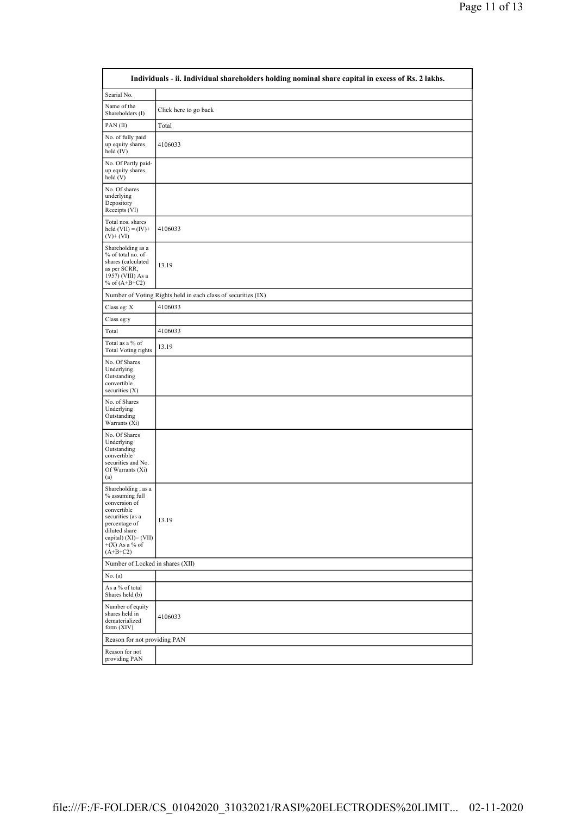|                                                                                                                                                                                          | Individuals - ii. Individual shareholders holding nominal share capital in excess of Rs. 2 lakhs. |
|------------------------------------------------------------------------------------------------------------------------------------------------------------------------------------------|---------------------------------------------------------------------------------------------------|
| Searial No.                                                                                                                                                                              |                                                                                                   |
| Name of the<br>Shareholders (I)                                                                                                                                                          | Click here to go back                                                                             |
| PAN(II)                                                                                                                                                                                  | Total                                                                                             |
| No. of fully paid<br>up equity shares<br>held (IV)                                                                                                                                       | 4106033                                                                                           |
| No. Of Partly paid-<br>up equity shares<br>held (V)                                                                                                                                      |                                                                                                   |
| No. Of shares<br>underlying<br>Depository<br>Receipts (VI)                                                                                                                               |                                                                                                   |
| Total nos. shares<br>held $(VII) = (IV) +$<br>$(V)+(VI)$                                                                                                                                 | 4106033                                                                                           |
| Shareholding as a<br>% of total no. of<br>shares (calculated<br>as per SCRR,<br>1957) (VIII) As a<br>% of $(A+B+C2)$                                                                     | 13.19                                                                                             |
|                                                                                                                                                                                          | Number of Voting Rights held in each class of securities (IX)                                     |
| Class eg: X                                                                                                                                                                              | 4106033                                                                                           |
| Class eg:y                                                                                                                                                                               |                                                                                                   |
| Total                                                                                                                                                                                    | 4106033                                                                                           |
| Total as a % of<br><b>Total Voting rights</b>                                                                                                                                            | 13.19                                                                                             |
| No. Of Shares<br>Underlying<br>Outstanding<br>convertible<br>securities $(X)$                                                                                                            |                                                                                                   |
| No. of Shares<br>Underlying<br>Outstanding<br>Warrants (Xi)                                                                                                                              |                                                                                                   |
| No. Of Shares<br>Underlying<br>Outstanding<br>convertible<br>securities and No.<br>Of Warrants (Xi)<br>(a)                                                                               |                                                                                                   |
| Shareholding, as a<br>% assuming full<br>conversion of<br>convertible<br>securities (as a<br>percentage of<br>diluted share<br>capital) $(XI) = (VII)$<br>$+(X)$ As a % of<br>$(A+B+C2)$ | 13.19                                                                                             |
| Number of Locked in shares (XII)                                                                                                                                                         |                                                                                                   |
| No. (a)                                                                                                                                                                                  |                                                                                                   |
| As a % of total<br>Shares held (b)                                                                                                                                                       |                                                                                                   |
| Number of equity<br>shares held in<br>dematerialized<br>form (XIV)                                                                                                                       | 4106033                                                                                           |
| Reason for not providing PAN                                                                                                                                                             |                                                                                                   |
| Reason for not<br>providing PAN                                                                                                                                                          |                                                                                                   |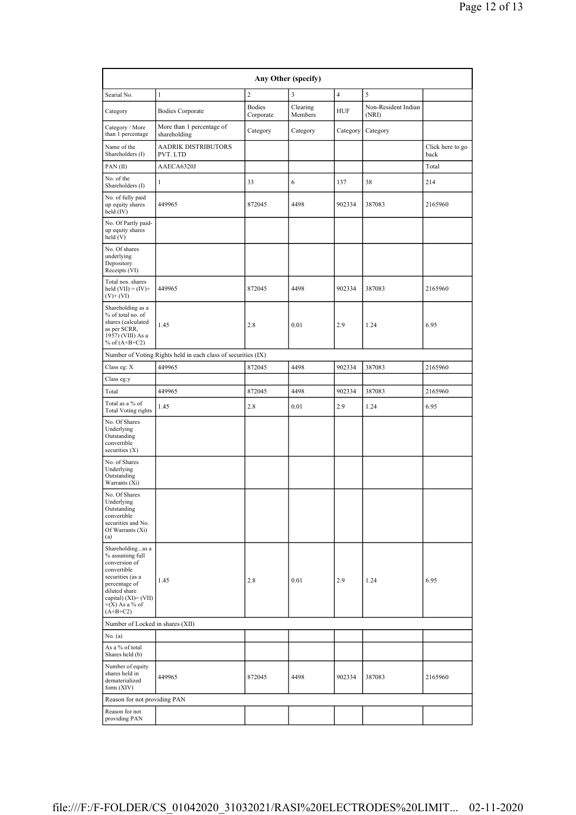| Any Other (specify)                                                                                                                                                                      |                                                               |                            |                     |                |                              |                          |  |  |  |  |
|------------------------------------------------------------------------------------------------------------------------------------------------------------------------------------------|---------------------------------------------------------------|----------------------------|---------------------|----------------|------------------------------|--------------------------|--|--|--|--|
| Searial No.                                                                                                                                                                              | $\mathbf{1}$                                                  | $\overline{c}$             | 3                   | $\overline{4}$ | 5                            |                          |  |  |  |  |
| Category                                                                                                                                                                                 | <b>Bodies Corporate</b>                                       | <b>Bodies</b><br>Corporate | Clearing<br>Members | <b>HUF</b>     | Non-Resident Indian<br>(NRI) |                          |  |  |  |  |
| Category / More<br>than 1 percentage                                                                                                                                                     | More than 1 percentage of<br>shareholding                     | Category                   | Category            | Category       | Category                     |                          |  |  |  |  |
| Name of the<br>Shareholders (I)                                                                                                                                                          | AADRIK DISTRIBUTORS<br>PVT. LTD                               |                            |                     |                |                              | Click here to go<br>back |  |  |  |  |
| PAN(II)                                                                                                                                                                                  | AAECA6320J                                                    |                            |                     |                |                              | Total                    |  |  |  |  |
| No. of the<br>Shareholders (I)                                                                                                                                                           | 1                                                             | 33                         | 6                   | 137            | 38                           | 214                      |  |  |  |  |
| No. of fully paid<br>up equity shares<br>held (IV)                                                                                                                                       | 449965                                                        | 872045                     | 4498                | 902334         | 387083                       | 2165960                  |  |  |  |  |
| No. Of Partly paid-<br>up equity shares<br>held(V)                                                                                                                                       |                                                               |                            |                     |                |                              |                          |  |  |  |  |
| No. Of shares<br>underlying<br>Depository<br>Receipts (VI)                                                                                                                               |                                                               |                            |                     |                |                              |                          |  |  |  |  |
| Total nos. shares<br>held $(VII) = (IV) +$<br>$(V)+(VI)$                                                                                                                                 | 449965                                                        | 872045                     | 4498                | 902334         | 387083                       | 2165960                  |  |  |  |  |
| Shareholding as a<br>% of total no. of<br>shares (calculated<br>as per SCRR,<br>1957) (VIII) As a<br>% of $(A+B+C2)$                                                                     | 1.45                                                          | 2.8                        | 0.01                | 2.9            | 1.24                         | 6.95                     |  |  |  |  |
|                                                                                                                                                                                          | Number of Voting Rights held in each class of securities (IX) |                            |                     |                |                              |                          |  |  |  |  |
| Class eg: X                                                                                                                                                                              | 449965                                                        | 872045                     | 4498                | 902334         | 387083                       | 2165960                  |  |  |  |  |
| Class eg:y                                                                                                                                                                               |                                                               |                            |                     |                |                              |                          |  |  |  |  |
| Total                                                                                                                                                                                    | 449965                                                        | 872045                     | 4498                | 902334         | 387083                       | 2165960                  |  |  |  |  |
| Total as a % of<br><b>Total Voting rights</b>                                                                                                                                            | 1.45                                                          | 2.8                        | 0.01                | 2.9            | 1.24                         | 6.95                     |  |  |  |  |
| No. Of Shares<br>Underlying<br>Outstanding<br>convertible<br>securities $(X)$                                                                                                            |                                                               |                            |                     |                |                              |                          |  |  |  |  |
| No. of Shares<br>Underlying<br>Outstanding<br>Warrants (Xi)                                                                                                                              |                                                               |                            |                     |                |                              |                          |  |  |  |  |
| No. Of Shares<br>Underlying<br>Outstanding<br>convertible<br>securities and No.<br>Of Warrants (Xi)<br>(a)                                                                               |                                                               |                            |                     |                |                              |                          |  |  |  |  |
| Shareholding, as a<br>% assuming full<br>conversion of<br>convertible<br>securities (as a<br>percentage of<br>diluted share<br>capital) $(XI) = (VII)$<br>$+(X)$ As a % of<br>$(A+B+C2)$ | 1.45                                                          | 2.8                        | 0.01                | 2.9            | 1.24                         | 6.95                     |  |  |  |  |
| Number of Locked in shares (XII)                                                                                                                                                         |                                                               |                            |                     |                |                              |                          |  |  |  |  |
| No. (a)                                                                                                                                                                                  |                                                               |                            |                     |                |                              |                          |  |  |  |  |
| As a % of total<br>Shares held (b)                                                                                                                                                       |                                                               |                            |                     |                |                              |                          |  |  |  |  |
| Number of equity<br>shares held in<br>dematerialized<br>form $(XIV)$                                                                                                                     | 449965                                                        | 872045                     | 4498                | 902334         | 387083                       | 2165960                  |  |  |  |  |
| Reason for not providing PAN                                                                                                                                                             |                                                               |                            |                     |                |                              |                          |  |  |  |  |
| Reason for not<br>providing PAN                                                                                                                                                          |                                                               |                            |                     |                |                              |                          |  |  |  |  |